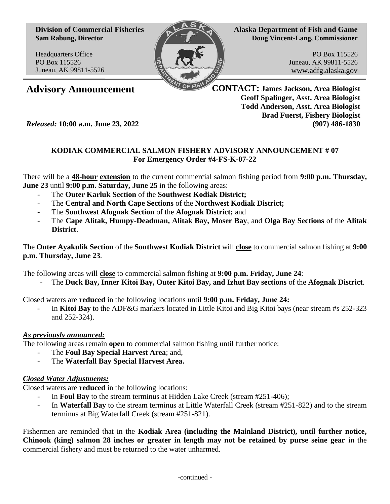**Division of Commercial Fisheries Sam Rabung, Director**

Headquarters Office PO Box 115526 Juneau, AK 99811-5526



**Alaska Department of Fish and Game Doug Vincent-Lang, Commissioner**

> PO Box 115526 Juneau, AK 99811-5526 www.adfg.alaska.gov

**Advisory Announcement CONTACT: James Jackson, Area Biologist Geoff Spalinger, Asst. Area Biologist Todd Anderson, Asst. Area Biologist Brad Fuerst, Fishery Biologist** *Released:* **10:00 a.m. June 23, 2022 (907) 486-1830**

## **KODIAK COMMERCIAL SALMON FISHERY ADVISORY ANNOUNCEMENT # 07 For Emergency Order #4-FS-K-07-22**

There will be a **48-hour extension** to the current commercial salmon fishing period from **9:00 p.m. Thursday, June 23** until **9:00 p.m. Saturday, June 25** in the following areas:

- The **Outer Karluk Section** of the **Southwest Kodiak District;**
- The **Central and North Cape Sections** of the **Northwest Kodiak District;**
- The **Southwest Afognak Section** of the **Afognak District;** and
- The **Cape Alitak, Humpy-Deadman, Alitak Bay, Moser Bay**, and **Olga Bay Sections** of the **Alitak District**.

The **Outer Ayakulik Section** of the **Southwest Kodiak District** will **close** to commercial salmon fishing at **9:00 p.m. Thursday, June 23**.

The following areas will **close** to commercial salmon fishing at **9:00 p.m. Friday, June 24**:

- The **Duck Bay, Inner Kitoi Bay, Outer Kitoi Bay, and Izhut Bay sections** of the **Afognak District**.

Closed waters are **reduced** in the following locations until **9:00 p.m. Friday, June 24:**

- In **Kitoi Bay** to the ADF&G markers located in Little Kitoi and Big Kitoi bays (near stream #s 252-323 and 252-324).

## *As previously announced:*

The following areas remain **open** to commercial salmon fishing until further notice:

- The **Foul Bay Special Harvest Area**; and,
- The **Waterfall Bay Special Harvest Area.**

## *Closed Water Adjustments:*

Closed waters are **reduced** in the following locations:

- In **Foul Bay** to the stream terminus at Hidden Lake Creek (stream #251-406);
- In **Waterfall Bay** to the stream terminus at Little Waterfall Creek (stream #251-822) and to the stream terminus at Big Waterfall Creek (stream #251-821).

Fishermen are reminded that in the **Kodiak Area (including the Mainland District), until further notice, Chinook (king) salmon 28 inches or greater in length may not be retained by purse seine gear** in the commercial fishery and must be returned to the water unharmed.